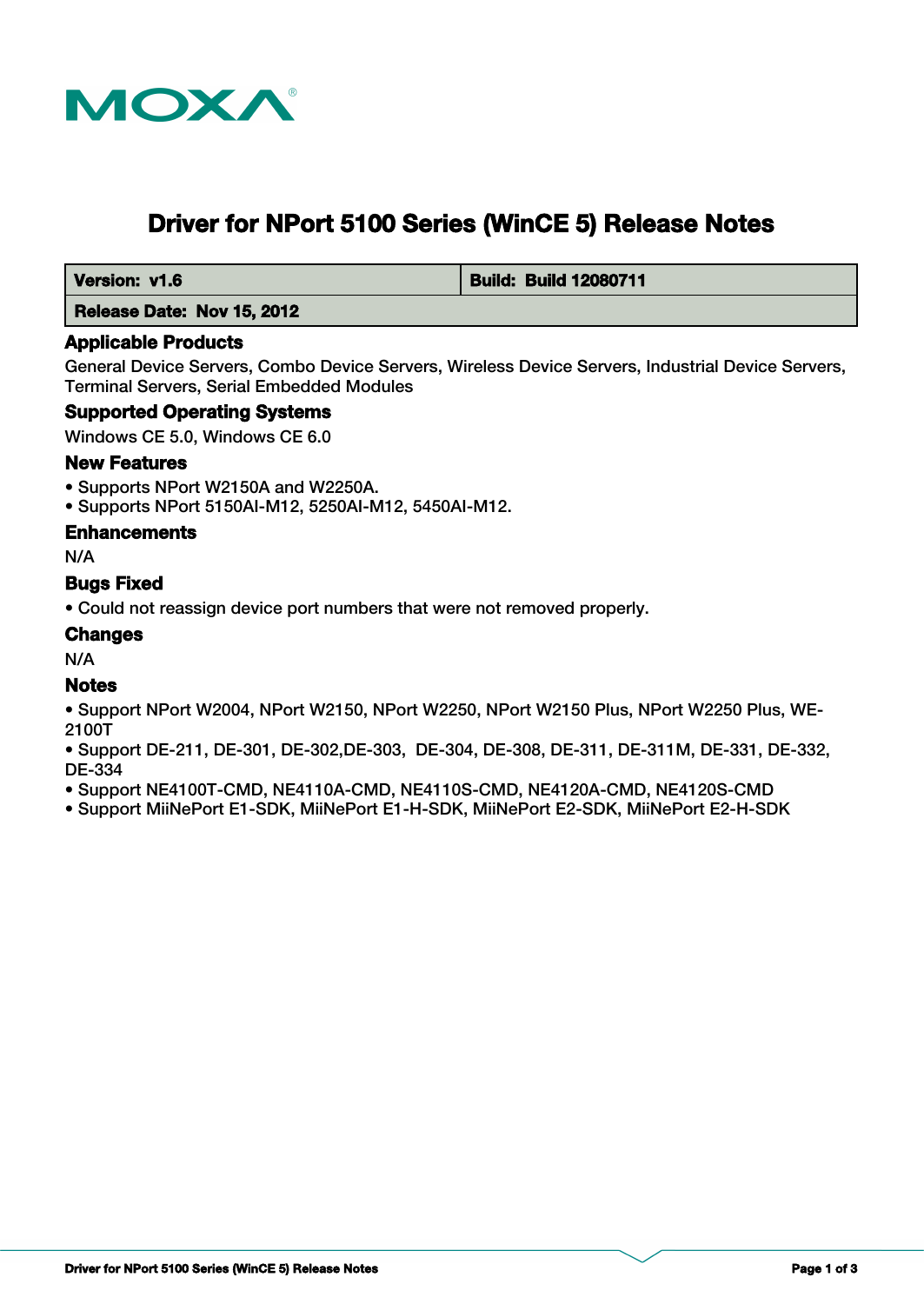

# **Driver for NPort 5100 Series (WinCE 5) Release Notes**

 **Version: v1.6 Build: Build: Build 12080711** 

 **Release Date: Nov 15, 2012**

#### **Applicable Products**

General Device Servers, Combo Device Servers, Wireless Device Servers, Industrial Device Servers, Terminal Servers, Serial Embedded Modules

## **Supported Operating Systems**

Windows CE 5.0, Windows CE 6.0

#### **New Features**

- Supports NPort W2150A and W2250A.
- Supports NPort 5150AI-M12, 5250AI-M12, 5450AI-M12.

#### **Enhancements**

N/A

## **Bugs Fixed**

• Could not reassign device port numbers that were not removed properly.

## **Changes**

N/A

#### **Notes**

- Support NPort W2004, NPort W2150, NPort W2250, NPort W2150 Plus, NPort W2250 Plus, WE-2100T
- Support DE-211, DE-301, DE-302,DE-303, DE-304, DE-308, DE-311, DE-311M, DE-331, DE-332, DE-334
- Support NE4100T-CMD, NE4110A-CMD, NE4110S-CMD, NE4120A-CMD, NE4120S-CMD
- Support MiiNePort E1-SDK, MiiNePort E1-H-SDK, MiiNePort E2-SDK, MiiNePort E2-H-SDK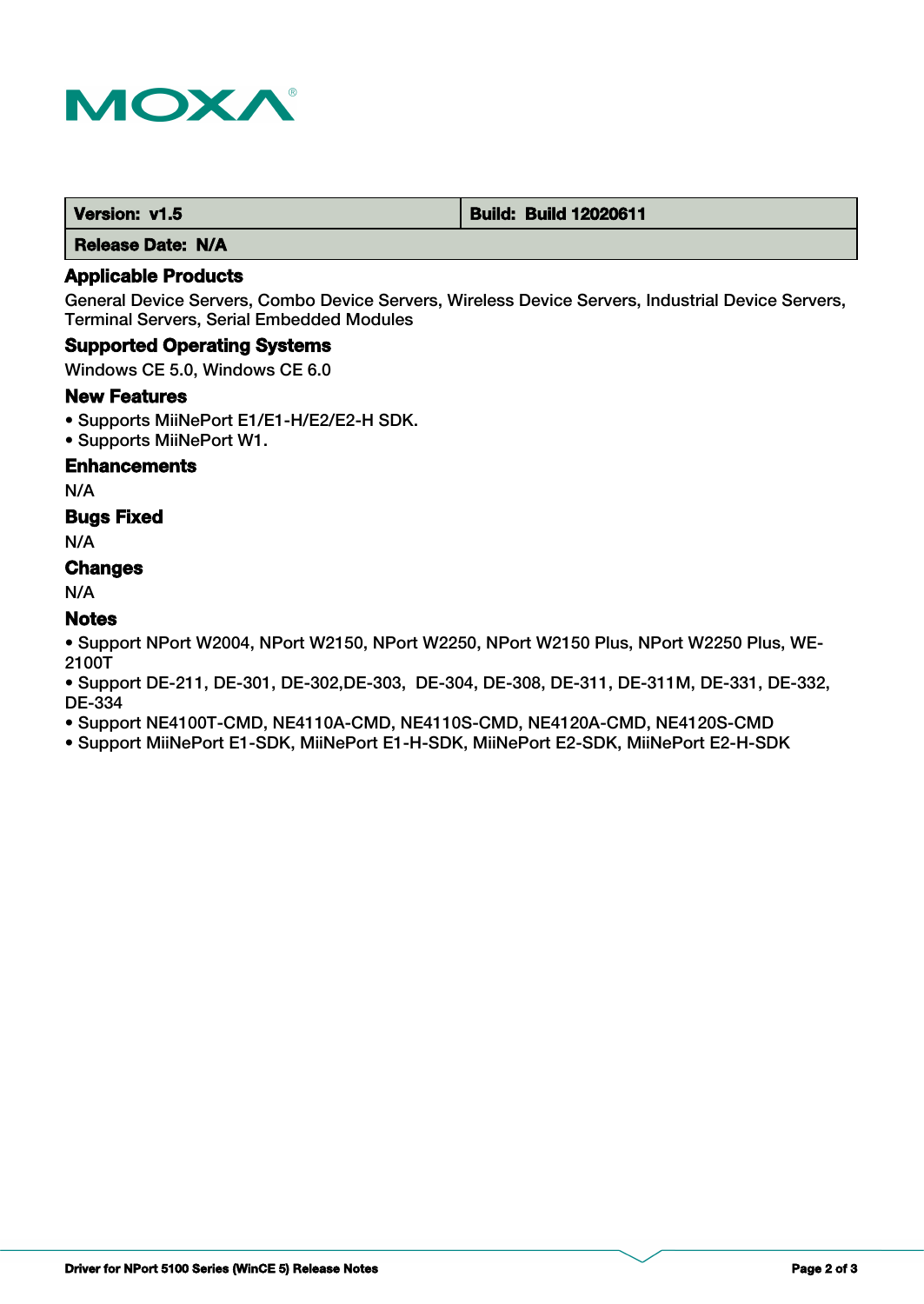

 **Release Date: N/A**

# **Applicable Products**

General Device Servers, Combo Device Servers, Wireless Device Servers, Industrial Device Servers, Terminal Servers, Serial Embedded Modules

#### **Supported Operating Systems**

Windows CE 5.0, Windows CE 6.0

#### **New Features**

- Supports MiiNePort E1/E1-H/E2/E2-H SDK.
- Supports MiiNePort W1.

#### **Enhancements**

N/A

#### **Bugs Fixed**

N/A

# **Changes**

N/A

## **Notes**

• Support NPort W2004, NPort W2150, NPort W2250, NPort W2150 Plus, NPort W2250 Plus, WE-2100T

• Support DE-211, DE-301, DE-302,DE-303, DE-304, DE-308, DE-311, DE-311M, DE-331, DE-332, DE-334

• Support NE4100T-CMD, NE4110A-CMD, NE4110S-CMD, NE4120A-CMD, NE4120S-CMD

• Support MiiNePort E1-SDK, MiiNePort E1-H-SDK, MiiNePort E2-SDK, MiiNePort E2-H-SDK